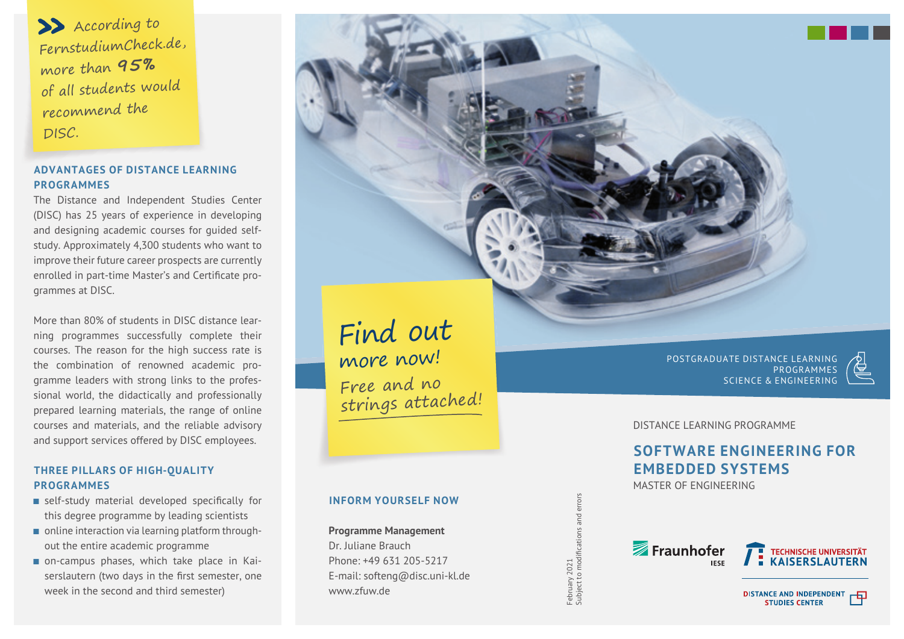1) According to FernstudiumCheck.de, more than **95 %** of all students would recommend the DISC.

# **ADVANTAGES OF DISTANCE LEARNING PROGRAMMES**

The Distance and Independent Studies Center (DISC) has 25 years of experience in developing and designing academic courses for guided selfstudy. Approximately 4,300 students who want to improve their future career prospects are currently enrolled in part-time Master's and Certificate programmes at DISC.

More than 80% of students in DISC distance learning programmes successfully complete their courses. The reason for the high success rate is the combination of renowned academic programme leaders with strong links to the professional world, the didactically and professionally prepared learning materials, the range of online courses and materials, and the reliable advisory and support services offered by DISC employees.

# **THREE PILLARS OF HIGH-QUALITY PROGRAMMES**

- $\blacksquare$  self-study material developed specifically for this degree programme by leading scientists
- online interaction via learning platform throughout the entire academic programme
- on-campus phases, which take place in Kaiserslautern (two days in the first semester, one week in the second and third semester)

Find out more now! Free and no strings attached!

# **INFORM YOURSELF NOW**

**Programme Management** Dr. Juliane Brauch Phone: +49 631 205-5217 E-mail: softeng@disc.uni-kl.de www.zfuw.de

Subject to modifications and errors February 2021<br>Subject to modifications

February 2021

POSTGRADUATE DISTANCE LEARNING **PROGRAMMES** SCIENCE & ENGINEERING



匝

DISTANCE LEARNING PROGRAMME

# **SOFTWARE ENGINEERING FOR EMBEDDED SYSTEMS**

MASTER OF ENGINEERING



**DISTANCE AND INDEPENDENT**